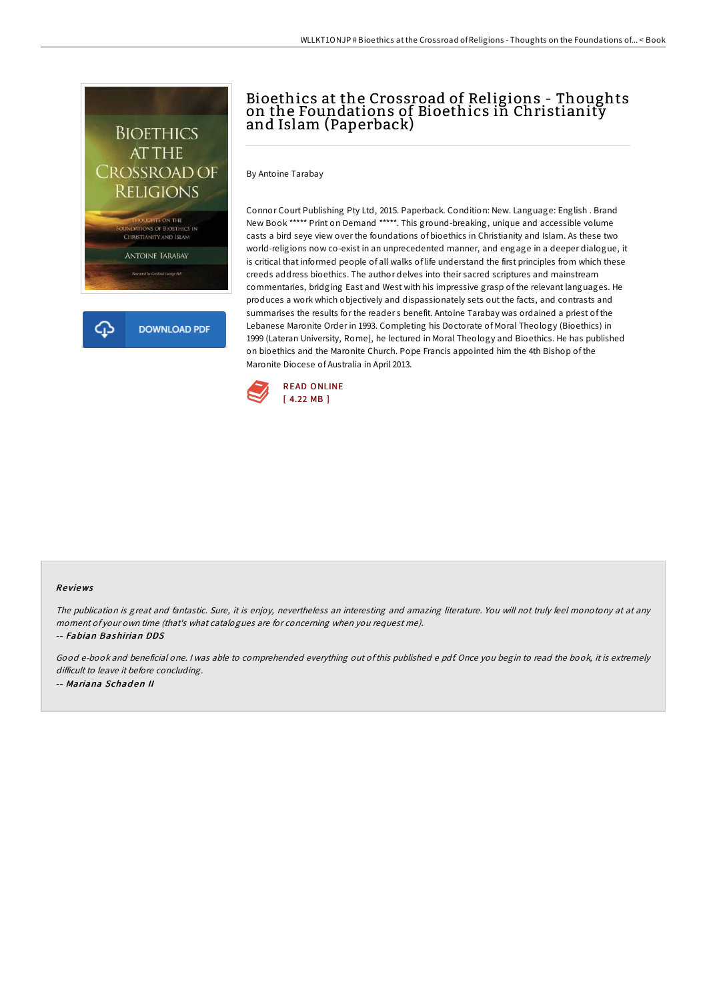

ረጉ **DOWNLOAD PDF** 

# Bioethics at the Crossroad of Religions - Thoughts on the Foundations of Bioethics in Christianity and Islam (Paperback)

By Antoine Tarabay

Connor Court Publishing Pty Ltd, 2015. Paperback. Condition: New. Language: English . Brand New Book \*\*\*\*\* Print on Demand \*\*\*\*\*. This ground-breaking, unique and accessible volume casts a bird seye view over the foundations of bioethics in Christianity and Islam. As these two world-religions now co-exist in an unprecedented manner, and engage in a deeper dialogue, it is critical that informed people of all walks of life understand the first principles from which these creeds address bioethics. The author delves into their sacred scriptures and mainstream commentaries, bridging East and West with his impressive grasp of the relevant languages. He produces a work which objectively and dispassionately sets out the facts, and contrasts and summarises the results for the reader s benefit. Antoine Tarabay was ordained a priest of the Lebanese Maronite Order in 1993. Completing his Doctorate of Moral Theology (Bioethics) in 1999 (Lateran University, Rome), he lectured in Moral Theology and Bioethics. He has published on bioethics and the Maronite Church. Pope Francis appointed him the 4th Bishop of the Maronite Diocese of Australia in April 2013.



#### Re views

The publication is great and fantastic. Sure, it is enjoy, nevertheless an interesting and amazing literature. You will not truly feel monotony at at any moment of your own time (that's what catalogues are for concerning when you request me).

-- Fabian Bashirian DDS

Good e-book and beneficial one. <sup>I</sup> was able to comprehended everything out of this published <sup>e</sup> pdf. Once you begin to read the book, it is extremely difficult to leave it before concluding. -- Mariana Schaden II